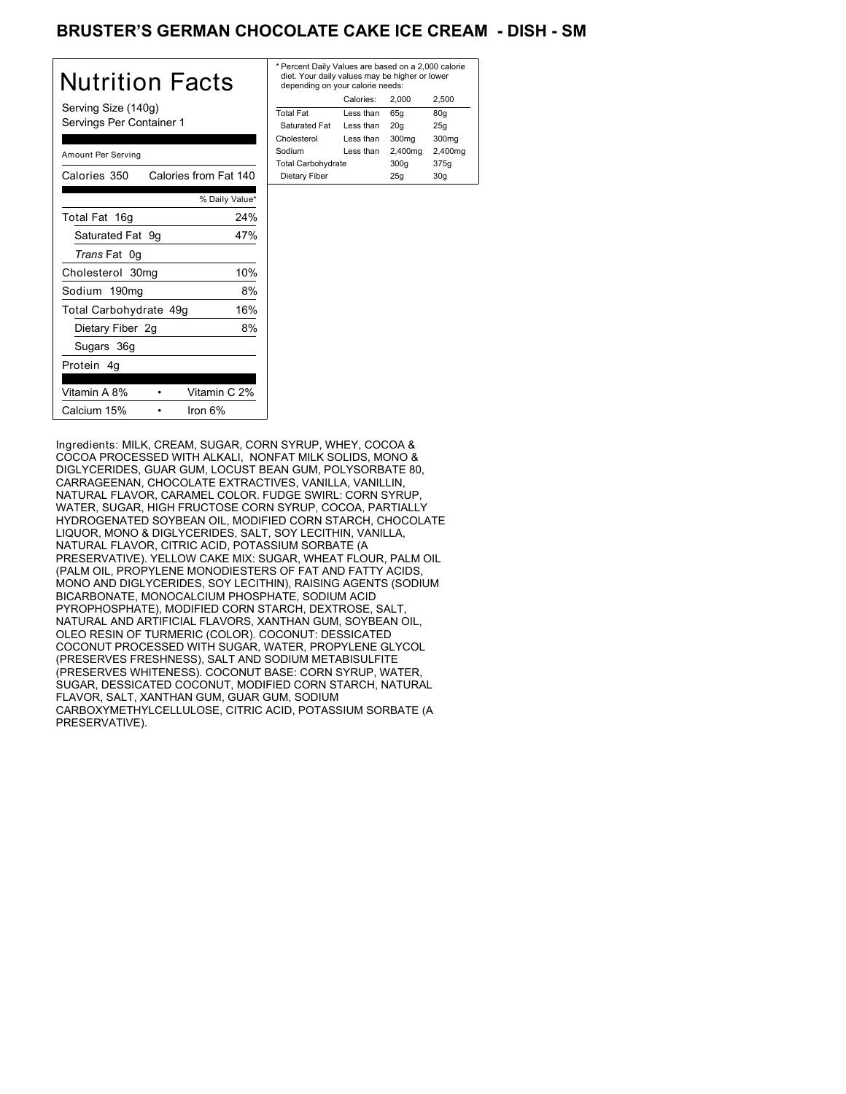# BRUSTER'S GERMAN CHOCOLATE CAKE ICE CREAM **- DISH - SM**

| Nutrition Facts                                 | * Perd<br>diet.<br>dep  |
|-------------------------------------------------|-------------------------|
| Serving Size (140g)<br>Servings Per Container 1 | Total<br>Satu           |
| Amount Per Serving                              | Chole<br>Sodiu<br>Total |
| Calories from Fat 140<br>Calories 350           | Dieta                   |
| % Daily Value*                                  |                         |
| Total Fat 16g<br>24%                            |                         |
| Saturated Fat 9g<br>47%                         |                         |
| Trans Fat 0g                                    |                         |
| 10%<br>Cholesterol 30mg                         |                         |
| 8%<br>Sodium 190mg                              |                         |
| 16%<br>Total Carbohydrate 49g                   |                         |
| Dietary Fiber 2g<br>8%                          |                         |
| Sugars 36g                                      |                         |
| Protein 4g                                      |                         |
| Vitamin A 8%<br>Vitamin C 2%                    |                         |
| Calcium 15%<br>Iron $6%$                        |                         |

| * Percent Daily Values are based on a 2,000 calorie<br>diet. Your daily values may be higher or lower<br>depending on your calorie needs: |           |         |                   |
|-------------------------------------------------------------------------------------------------------------------------------------------|-----------|---------|-------------------|
|                                                                                                                                           | Calories: | 2.000   | 2.500             |
| <b>Total Fat</b>                                                                                                                          | Less than | 65q     | 80q               |
| Saturated Fat                                                                                                                             | Less than | 20q     | 25q               |
| Cholesterol                                                                                                                               | Less than | 300mg   | 300 <sub>mq</sub> |
| Sodium                                                                                                                                    | Less than | 2,400mg | 2,400mg           |
| <b>Total Carbohydrate</b>                                                                                                                 |           | 300q    | 375g              |
| Dietary Fiber                                                                                                                             |           | 25q     | 30q               |
|                                                                                                                                           |           |         |                   |

Ingredients: MILK, CREAM, SUGAR, CORN SYRUP, WHEY, COCOA & COCOA PROCESSED WITH ALKALI, NONFAT MILK SOLIDS, MONO & DIGLYCERIDES, GUAR GUM, LOCUST BEAN GUM, POLYSORBATE 80, CARRAGEENAN, CHOCOLATE EXTRACTIVES, VANILLA, VANILLIN, NATURAL FLAVOR, CARAMEL COLOR. FUDGE SWIRL: CORN SYRUP, WATER, SUGAR, HIGH FRUCTOSE CORN SYRUP, COCOA, PARTIALLY HYDROGENATED SOYBEAN OIL, MODIFIED CORN STARCH, CHOCOLATE LIQUOR, MONO & DIGLYCERIDES, SALT, SOY LECITHIN, VANILLA, NATURAL FLAVOR, CITRIC ACID, POTASSIUM SORBATE (A PRESERVATIVE). YELLOW CAKE MIX: SUGAR, WHEAT FLOUR, PALM OIL (PALM OIL, PROPYLENE MONODIESTERS OF FAT AND FATTY ACIDS, MONO AND DIGLYCERIDES, SOY LECITHIN), RAISING AGENTS (SODIUM BICARBONATE, MONOCALCIUM PHOSPHATE, SODIUM ACID PYROPHOSPHATE), MODIFIED CORN STARCH, DEXTROSE, SALT, NATURAL AND ARTIFICIAL FLAVORS, XANTHAN GUM, SOYBEAN OIL, OLEO RESIN OF TURMERIC (COLOR). COCONUT: DESSICATED COCONUT PROCESSED WITH SUGAR, WATER, PROPYLENE GLYCOL (PRESERVES FRESHNESS), SALT AND SODIUM METABISULFITE (PRESERVES WHITENESS). COCONUT BASE: CORN SYRUP, WATER, SUGAR, DESSICATED COCONUT, MODIFIED CORN STARCH, NATURAL FLAVOR, SALT, XANTHAN GUM, GUAR GUM, SODIUM CARBOXYMETHYLCELLULOSE, CITRIC ACID, POTASSIUM SORBATE (A PRESERVATIVE).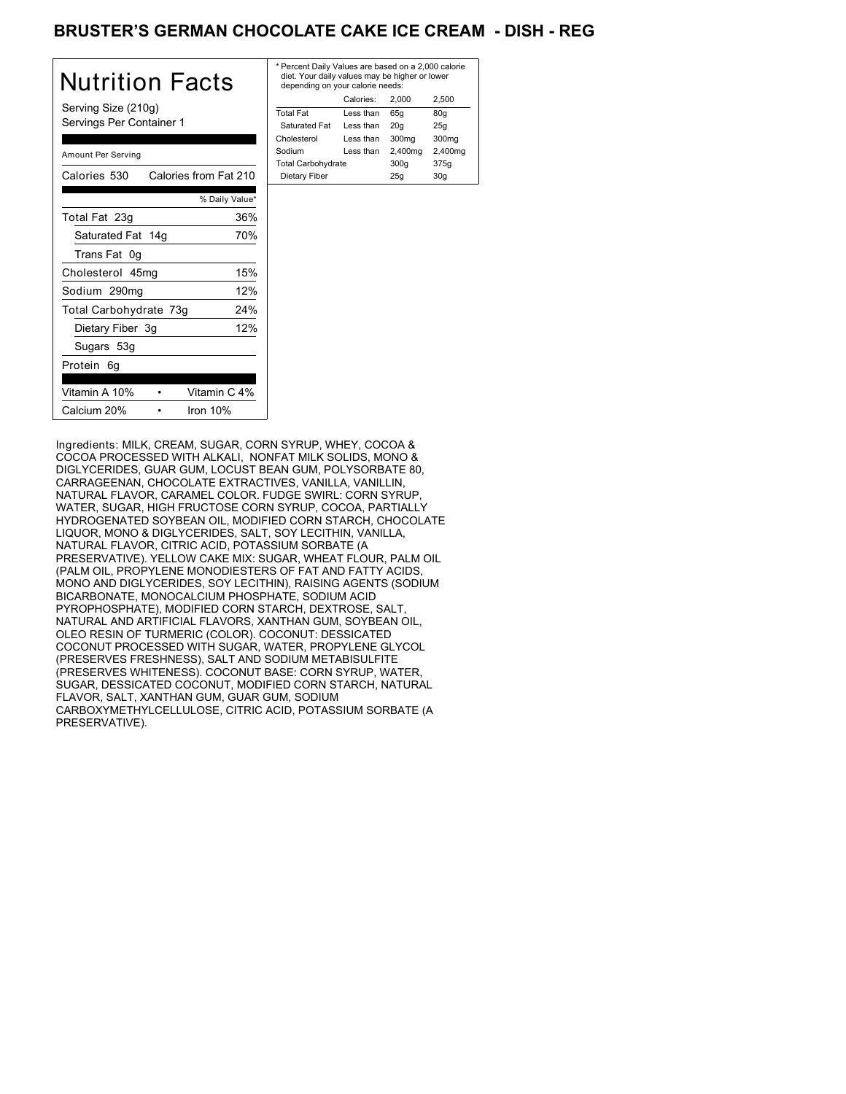# BRUSTER'S GERMAN CHOCOLATE CAKE ICE CREAM - DISH - REG

| Nutrition Facts                                 | * Per<br>diet<br>dep |
|-------------------------------------------------|----------------------|
| Serving Size (210g)<br>Servings Per Container 1 | Total<br>Sat<br>Chol |
| Amount Per Serving                              | Sodi<br>Total        |
| Calories from Fat 210<br>Calories 530           | Die:                 |
| % Daily Value*                                  |                      |
| 36%<br>Total Fat 23g                            |                      |
| Saturated Fat 14g<br>70%                        |                      |
| Trans Fat 0g                                    |                      |
| 15%<br>Cholesterol 45mg                         |                      |
| 12%<br>Sodium 290mg                             |                      |
| 24%<br>Total Carbohydrate 73g                   |                      |
| 12%<br>Dietary Fiber 3g                         |                      |
| Sugars 53g                                      |                      |
| Protein 6g                                      |                      |
| Vitamin A 10%<br>Vitamin C 4%                   |                      |
| Calcium 20%<br>Iron $10%$                       |                      |

| * Percent Daily Values are based on a 2,000 calorie<br>diet. Your daily values may be higher or lower<br>depending on your calorie needs: |           |         |         |
|-------------------------------------------------------------------------------------------------------------------------------------------|-----------|---------|---------|
|                                                                                                                                           | Calories: | 2.000   | 2.500   |
| <b>Total Fat</b>                                                                                                                          | Less than | 65q     | 80g     |
| Saturated Fat                                                                                                                             | Less than | 20q     | 25q     |
| Cholesterol                                                                                                                               | Less than | 300mg   | 300mg   |
| Sodium                                                                                                                                    | Less than | 2,400mg | 2,400mg |
| <b>Total Carbohydrate</b>                                                                                                                 |           | 300q    | 375g    |
| Dietary Fiber                                                                                                                             |           | 25q     | 30q     |
|                                                                                                                                           |           |         |         |

Ingredients: MILK, CREAM, SUGAR, CORN SYRUP, WHEY, COCOA & COCOA PROCESSED WITH ALKALI, NONFAT MILK SOLIDS, MONO & DIGLYCERIDES, GUAR GUM, LOCUST BEAN GUM, POLYSORBATE 80, CARRAGEENAN, CHOCOLATE EXTRACTIVES, VANILLA, VANILLIN, NATURAL FLAVOR, CARAMEL COLOR. FUDGE SWIRL: CORN SYRUP, WATER, SUGAR, HIGH FRUCTOSE CORN SYRUP, COCOA, PARTIALLY HYDROGENATED SOYBEAN OIL, MODIFIED CORN STARCH, CHOCOLATE LIQUOR, MONO & DIGLYCERIDES, SALT, SOY LECITHIN, VANILLA, NATURAL FLAVOR, CITRIC ACID, POTASSIUM SORBATE (A PRESERVATIVE). YELLOW CAKE MIX: SUGAR, WHEAT FLOUR, PALM OIL (PALM OIL, PROPYLENE MONODIESTERS OF FAT AND FATTY ACIDS, MONO AND DIGLYCERIDES, SOY LECITHIN), RAISING AGENTS (SODIUM BICARBONATE, MONOCALCIUM PHOSPHATE, SODIUM ACID PYROPHOSPHATE), MODIFIED CORN STARCH, DEXTROSE, SALT, NATURAL AND ARTIFICIAL FLAVORS, XANTHAN GUM, SOYBEAN OIL, OLEO RESIN OF TURMERIC (COLOR). COCONUT: DESSICATED COCONUT PROCESSED WITH SUGAR, WATER, PROPYLENE GLYCOL (PRESERVES FRESHNESS), SALT AND SODIUM METABISULFITE (PRESERVES WHITENESS). COCONUT BASE: CORN SYRUP, WATER, SUGAR, DESSICATED COCONUT, MODIFIED CORN STARCH, NATURAL FLAVOR, SALT, XANTHAN GUM, GUAR GUM, SODIUM CARBOXYMETHYLCELLULOSE, CITRIC ACID, POTASSIUM SORBATE (A PRESERVATIVE).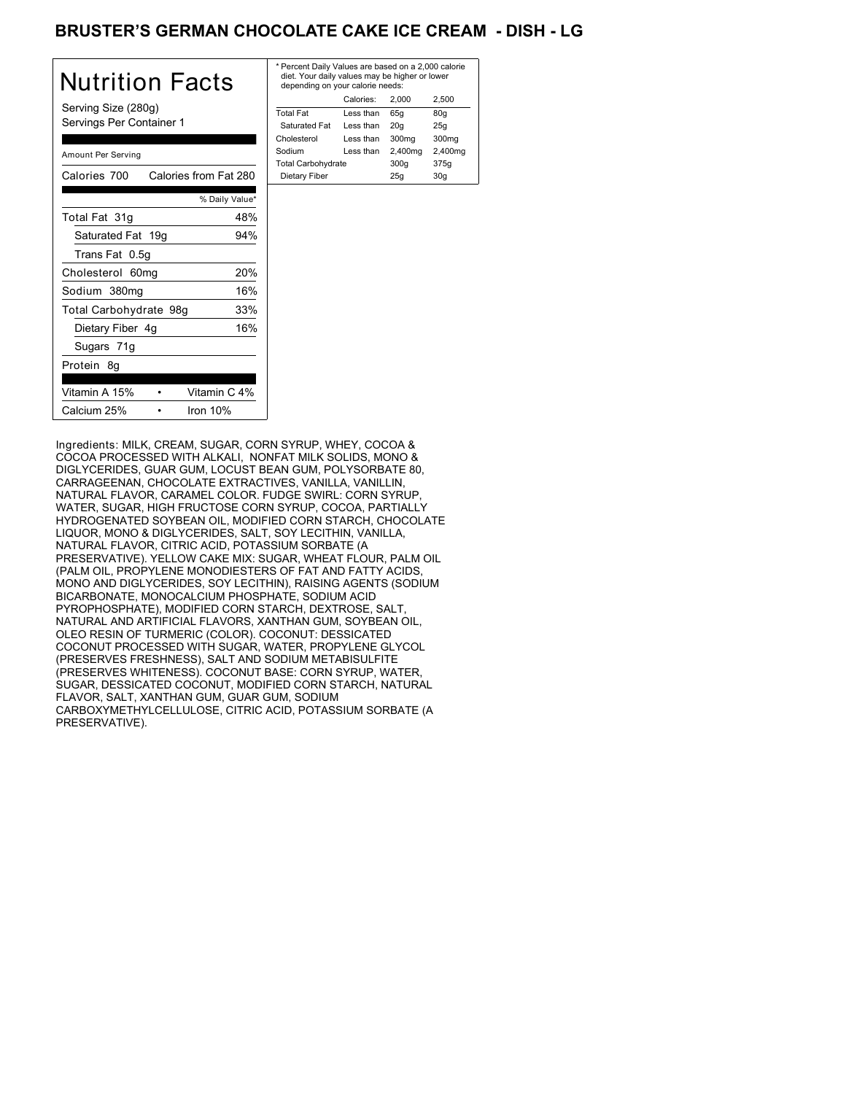# BRUSTER'S GERMAN CHOCOLATE CAKE ICE CREAM - DISH - LG

| Nutrition Facts                                 | * P<br>d<br>d |
|-------------------------------------------------|---------------|
| Serving Size (280g)<br>Servings Per Container 1 | To<br>S<br>Ch |
| Amount Per Serving                              | So<br>Τo      |
| Calories from Fat 280<br>Calories 700           | D             |
| % Daily Value*                                  |               |
| Total Fat 31q<br>48%                            |               |
| Saturated Fat 19g<br>94%                        |               |
| Trans Fat 0.5g                                  |               |
| 20%<br>Cholesterol 60mg                         |               |
| 16%<br>Sodium 380mg                             |               |
| Total Carbohydrate 98g<br>33%                   |               |
| 16%<br>Dietary Fiber 4g                         |               |
| Sugars 71g                                      |               |
| Protein 8g                                      |               |
| Vitamin A 15%<br>Vitamin C 4%                   |               |
| Calcium 25%<br>Iron $10%$                       |               |

| * Percent Daily Values are based on a 2,000 calorie<br>diet. Your daily values may be higher or lower<br>depending on your calorie needs: |           |         |         |
|-------------------------------------------------------------------------------------------------------------------------------------------|-----------|---------|---------|
|                                                                                                                                           | Calories: | 2.000   | 2.500   |
| <b>Total Fat</b>                                                                                                                          | Less than | 65q     | 80q     |
| Saturated Fat                                                                                                                             | Less than | 20q     | 25q     |
| Cholesterol                                                                                                                               | Less than | 300mg   | 300mg   |
| Sodium                                                                                                                                    | Less than | 2,400mg | 2,400mg |
| <b>Total Carbohydrate</b>                                                                                                                 |           | 300q    | 375g    |
| Dietary Fiber                                                                                                                             |           | 25q     | 30q     |
|                                                                                                                                           |           |         |         |

Ingredients: MILK, CREAM, SUGAR, CORN SYRUP, WHEY, COCOA & COCOA PROCESSED WITH ALKALI, NONFAT MILK SOLIDS, MONO & DIGLYCERIDES, GUAR GUM, LOCUST BEAN GUM, POLYSORBATE 80, CARRAGEENAN, CHOCOLATE EXTRACTIVES, VANILLA, VANILLIN, NATURAL FLAVOR, CARAMEL COLOR. FUDGE SWIRL: CORN SYRUP, WATER, SUGAR, HIGH FRUCTOSE CORN SYRUP, COCOA, PARTIALLY HYDROGENATED SOYBEAN OIL, MODIFIED CORN STARCH, CHOCOLATE LIQUOR, MONO & DIGLYCERIDES, SALT, SOY LECITHIN, VANILLA, NATURAL FLAVOR, CITRIC ACID, POTASSIUM SORBATE (A PRESERVATIVE). YELLOW CAKE MIX: SUGAR, WHEAT FLOUR, PALM OIL (PALM OIL, PROPYLENE MONODIESTERS OF FAT AND FATTY ACIDS, MONO AND DIGLYCERIDES, SOY LECITHIN), RAISING AGENTS (SODIUM BICARBONATE, MONOCALCIUM PHOSPHATE, SODIUM ACID PYROPHOSPHATE), MODIFIED CORN STARCH, DEXTROSE, SALT, NATURAL AND ARTIFICIAL FLAVORS, XANTHAN GUM, SOYBEAN OIL, OLEO RESIN OF TURMERIC (COLOR). COCONUT: DESSICATED COCONUT PROCESSED WITH SUGAR, WATER, PROPYLENE GLYCOL (PRESERVES FRESHNESS), SALT AND SODIUM METABISULFITE (PRESERVES WHITENESS). COCONUT BASE: CORN SYRUP, WATER, SUGAR, DESSICATED COCONUT, MODIFIED CORN STARCH, NATURAL FLAVOR, SALT, XANTHAN GUM, GUAR GUM, SODIUM CARBOXYMETHYLCELLULOSE, CITRIC ACID, POTASSIUM SORBATE (A PRESERVATIVE).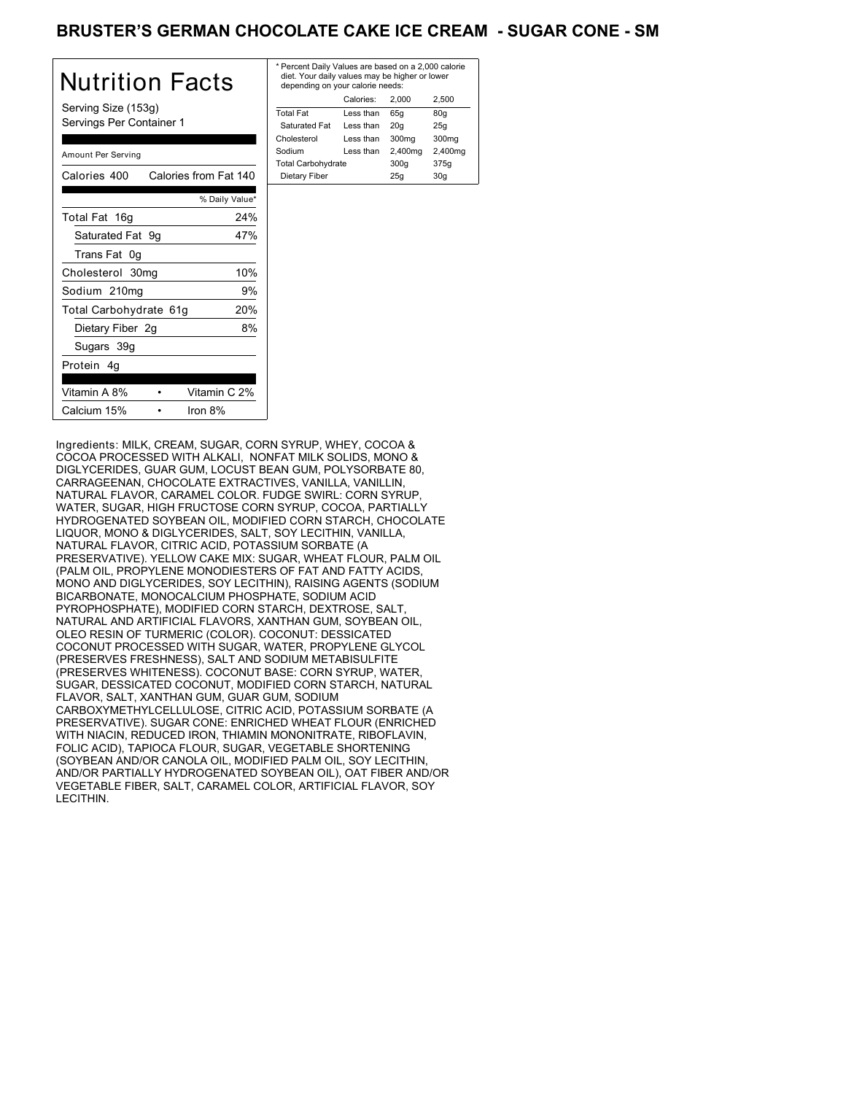## BRUSTER'S GERMAN CHOCOLATE CAKE ICE CREAM - SUGAR CONE - SM

| Nutrition Facts                                 | * Perc<br>diet.<br>dep <sub>6</sub> |
|-------------------------------------------------|-------------------------------------|
| Serving Size (153g)<br>Servings Per Container 1 | Total I<br>Satu<br>Chole            |
| Amount Per Serving                              | Sodiu<br>Total <sup>(</sup>         |
| Calories 400<br>Calories from Fat 140           | Dieta                               |
| % Daily Value*                                  |                                     |
| 24%<br>Total Fat 16g                            |                                     |
| Saturated Fat 9g<br>47%                         |                                     |
| Trans Fat 0g                                    |                                     |
| 10%<br>Cholesterol 30mg                         |                                     |
| Sodium 210mg<br>9%                              |                                     |
| 20%<br>Total Carbohydrate 61g                   |                                     |
| 8%<br>Dietary Fiber 2g                          |                                     |
| Sugars 39g                                      |                                     |
| Protein 4q                                      |                                     |
| Vitamin A 8%<br>Vitamin C 2%                    |                                     |
| Calcium 15%<br>Iron 8%                          |                                     |

| * Percent Daily Values are based on a 2,000 calorie<br>diet. Your daily values may be higher or lower<br>depending on your calorie needs: |           |         |         |
|-------------------------------------------------------------------------------------------------------------------------------------------|-----------|---------|---------|
|                                                                                                                                           | Calories: | 2.000   | 2.500   |
| <b>Total Fat</b>                                                                                                                          | Less than | 65q     | 80q     |
| Saturated Fat                                                                                                                             | Less than | 20q     | 25q     |
| Cholesterol                                                                                                                               | Less than | 300mg   | 300mg   |
| Sodium                                                                                                                                    | Less than | 2,400mg | 2,400mg |
| <b>Total Carbohydrate</b>                                                                                                                 |           | 300q    | 375g    |
| Dietary Fiber                                                                                                                             |           | 25q     | 30q     |
|                                                                                                                                           |           |         |         |

Ingredients: MILK, CREAM, SUGAR, CORN SYRUP, WHEY, COCOA & COCOA PROCESSED WITH ALKALI, NONFAT MILK SOLIDS, MONO & DIGLYCERIDES, GUAR GUM, LOCUST BEAN GUM, POLYSORBATE 80, CARRAGEENAN, CHOCOLATE EXTRACTIVES, VANILLA, VANILLIN, NATURAL FLAVOR, CARAMEL COLOR. FUDGE SWIRL: CORN SYRUP, WATER, SUGAR, HIGH FRUCTOSE CORN SYRUP, COCOA, PARTIALLY HYDROGENATED SOYBEAN OIL, MODIFIED CORN STARCH, CHOCOLATE LIQUOR, MONO & DIGLYCERIDES, SALT, SOY LECITHIN, VANILLA, NATURAL FLAVOR, CITRIC ACID, POTASSIUM SORBATE (A PRESERVATIVE). YELLOW CAKE MIX: SUGAR, WHEAT FLOUR, PALM OIL (PALM OIL, PROPYLENE MONODIESTERS OF FAT AND FATTY ACIDS, MONO AND DIGLYCERIDES, SOY LECITHIN), RAISING AGENTS (SODIUM BICARBONATE, MONOCALCIUM PHOSPHATE, SODIUM ACID PYROPHOSPHATE), MODIFIED CORN STARCH, DEXTROSE, SALT, NATURAL AND ARTIFICIAL FLAVORS, XANTHAN GUM, SOYBEAN OIL, OLEO RESIN OF TURMERIC (COLOR). COCONUT: DESSICATED COCONUT PROCESSED WITH SUGAR, WATER, PROPYLENE GLYCOL (PRESERVES FRESHNESS), SALT AND SODIUM METABISULFITE (PRESERVES WHITENESS). COCONUT BASE: CORN SYRUP, WATER, SUGAR, DESSICATED COCONUT, MODIFIED CORN STARCH, NATURAL FLAVOR, SALT, XANTHAN GUM, GUAR GUM, SODIUM CARBOXYMETHYLCELLULOSE, CITRIC ACID, POTASSIUM SORBATE (A PRESERVATIVE). SUGAR CONE: ENRICHED WHEAT FLOUR (ENRICHED WITH NIACIN, REDUCED IRON, THIAMIN MONONITRATE, RIBOFLAVIN, FOLIC ACID), TAPIOCA FLOUR, SUGAR, VEGETABLE SHORTENING (SOYBEAN AND/OR CANOLA OIL, MODIFIED PALM OIL, SOY LECITHIN, AND/OR PARTIALLY HYDROGENATED SOYBEAN OIL), OAT FIBER AND/OR VEGETABLE FIBER, SALT, CARAMEL COLOR, ARTIFICIAL FLAVOR, SOY LECITHIN.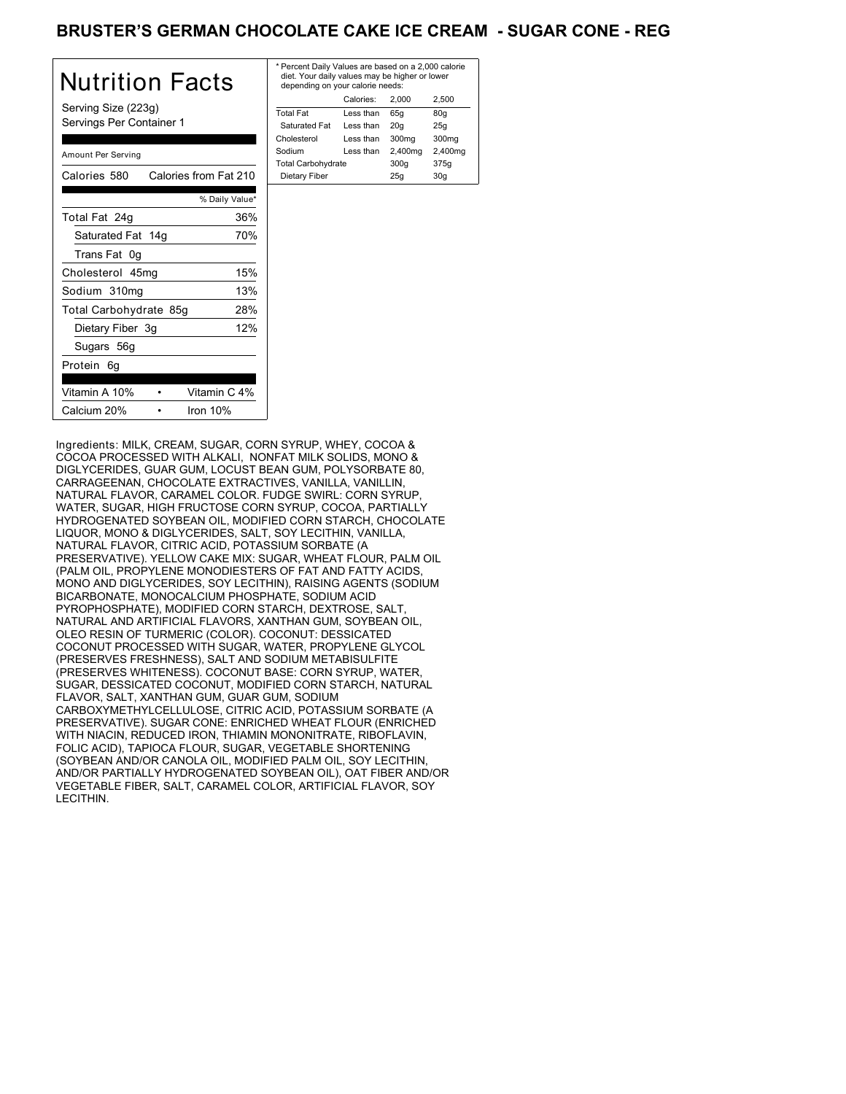## BRUSTER'S GERMAN CHOCOLATE CAKE ICE CREAM - SUGAR CONE - REG

| Nutrition Facts                                 | * Per<br>diet<br>dep |
|-------------------------------------------------|----------------------|
| Serving Size (223g)<br>Servings Per Container 1 | Total<br>Sat<br>Chol |
| Amount Per Serving                              | Sodi<br>Total        |
| Calories 580<br>Calories from Fat 210           | Die:                 |
| % Daily Value*                                  |                      |
| 36%<br>Total Fat 24g                            |                      |
| Saturated Fat 14g<br>70%                        |                      |
| Trans Fat 0g                                    |                      |
| 15%<br>Cholesterol 45mg                         |                      |
| 13%<br>Sodium 310mg                             |                      |
| 28%<br>Total Carbohydrate 85g                   |                      |
| 12%<br>Dietary Fiber 3g                         |                      |
| Sugars 56g                                      |                      |
| Protein 6q                                      |                      |
| Vitamin A 10%<br>Vitamin C 4%                   |                      |
| Calcium 20%<br>Iron 10%                         |                      |

| * Percent Daily Values are based on a 2,000 calorie<br>diet. Your daily values may be higher or lower<br>depending on your calorie needs: |           |                   |         |
|-------------------------------------------------------------------------------------------------------------------------------------------|-----------|-------------------|---------|
|                                                                                                                                           | Calories: | 2.000             | 2.500   |
| <b>Total Fat</b>                                                                                                                          | Less than | 65q               | 80q     |
| Saturated Fat                                                                                                                             | Less than | 20q               | 25q     |
| Cholesterol                                                                                                                               | Less than | 300 <sub>mg</sub> | 300mg   |
| Sodium                                                                                                                                    | Less than | 2,400mg           | 2,400mg |
| <b>Total Carbohydrate</b>                                                                                                                 |           | 300q              | 375g    |
| Dietary Fiber                                                                                                                             |           | 25q               | 30q     |

Ingredients: MILK, CREAM, SUGAR, CORN SYRUP, WHEY, COCOA & COCOA PROCESSED WITH ALKALI, NONFAT MILK SOLIDS, MONO & DIGLYCERIDES, GUAR GUM, LOCUST BEAN GUM, POLYSORBATE 80, CARRAGEENAN, CHOCOLATE EXTRACTIVES, VANILLA, VANILLIN, NATURAL FLAVOR, CARAMEL COLOR. FUDGE SWIRL: CORN SYRUP, WATER, SUGAR, HIGH FRUCTOSE CORN SYRUP, COCOA, PARTIALLY HYDROGENATED SOYBEAN OIL, MODIFIED CORN STARCH, CHOCOLATE LIQUOR, MONO & DIGLYCERIDES, SALT, SOY LECITHIN, VANILLA, NATURAL FLAVOR, CITRIC ACID, POTASSIUM SORBATE (A PRESERVATIVE). YELLOW CAKE MIX: SUGAR, WHEAT FLOUR, PALM OIL (PALM OIL, PROPYLENE MONODIESTERS OF FAT AND FATTY ACIDS, MONO AND DIGLYCERIDES, SOY LECITHIN), RAISING AGENTS (SODIUM BICARBONATE, MONOCALCIUM PHOSPHATE, SODIUM ACID PYROPHOSPHATE), MODIFIED CORN STARCH, DEXTROSE, SALT, NATURAL AND ARTIFICIAL FLAVORS, XANTHAN GUM, SOYBEAN OIL, OLEO RESIN OF TURMERIC (COLOR). COCONUT: DESSICATED COCONUT PROCESSED WITH SUGAR, WATER, PROPYLENE GLYCOL (PRESERVES FRESHNESS), SALT AND SODIUM METABISULFITE (PRESERVES WHITENESS). COCONUT BASE: CORN SYRUP, WATER, SUGAR, DESSICATED COCONUT, MODIFIED CORN STARCH, NATURAL FLAVOR, SALT, XANTHAN GUM, GUAR GUM, SODIUM CARBOXYMETHYLCELLULOSE, CITRIC ACID, POTASSIUM SORBATE (A PRESERVATIVE). SUGAR CONE: ENRICHED WHEAT FLOUR (ENRICHED WITH NIACIN, REDUCED IRON, THIAMIN MONONITRATE, RIBOFLAVIN, FOLIC ACID), TAPIOCA FLOUR, SUGAR, VEGETABLE SHORTENING (SOYBEAN AND/OR CANOLA OIL, MODIFIED PALM OIL, SOY LECITHIN, AND/OR PARTIALLY HYDROGENATED SOYBEAN OIL), OAT FIBER AND/OR VEGETABLE FIBER, SALT, CARAMEL COLOR, ARTIFICIAL FLAVOR, SOY LECITHIN.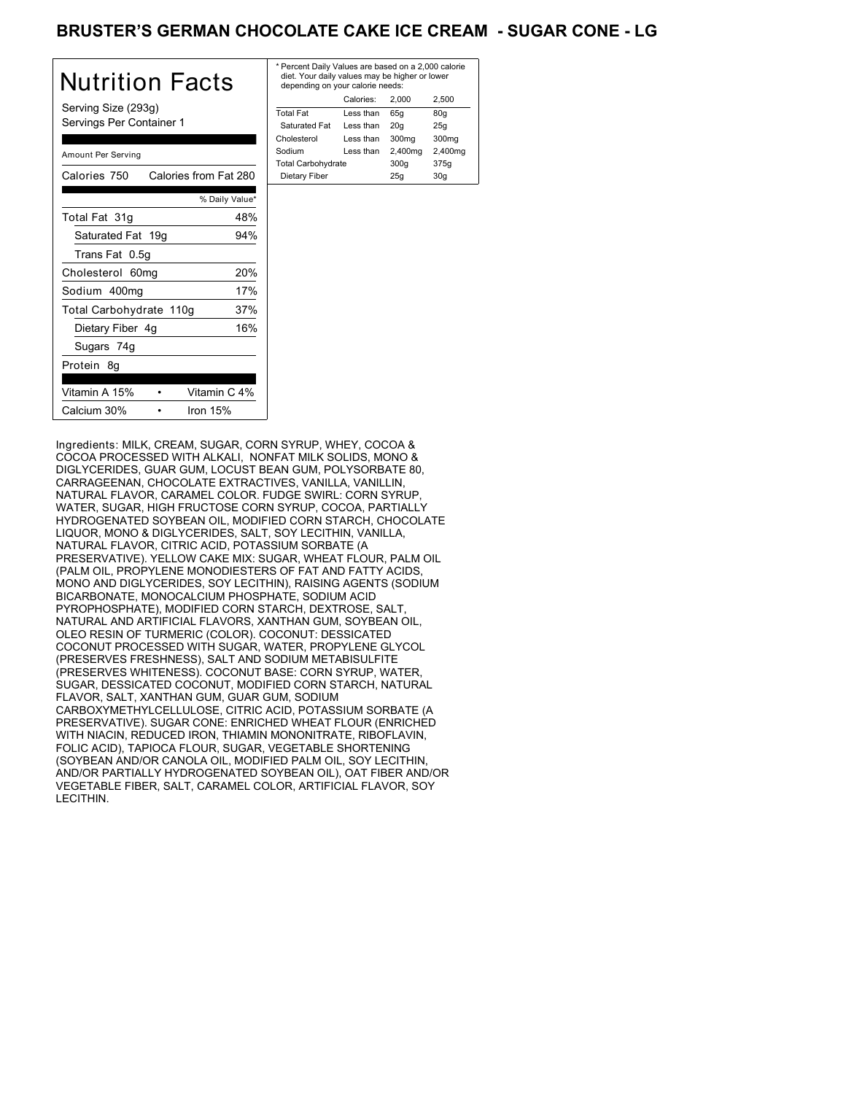# BRUSTER'S GERMAN CHOCOLATE CAKE ICE CREAM - SUGAR CONE - LG

| Nutrition Facts                                 | $*$ Pe<br>di<br>de |
|-------------------------------------------------|--------------------|
| Serving Size (293g)<br>Servings Per Container 1 | <b>Tot</b><br>Sε   |
| Amount Per Serving                              | Cho<br>Soc<br>Tot  |
| Calories from Fat 280<br>Calories 750           | Di                 |
| % Daily Value*                                  |                    |
| Total Fat 31g<br>48%                            |                    |
| Saturated Fat 19g<br>94%                        |                    |
| Trans Fat 0.5q                                  |                    |
| 20%<br>Cholesterol 60mg                         |                    |
| 17%<br>Sodium 400mg                             |                    |
| Total Carbohydrate 110g<br>37%                  |                    |
| 16%<br>Dietary Fiber 4g                         |                    |
| Sugars 74g                                      |                    |
| Protein 8g                                      |                    |
| Vitamin A 15%<br>Vitamin C 4%                   |                    |
| Calcium 30%<br>Iron $15%$                       |                    |

| * Percent Daily Values are based on a 2,000 calorie<br>diet. Your daily values may be higher or lower<br>depending on your calorie needs: |         |         |  |
|-------------------------------------------------------------------------------------------------------------------------------------------|---------|---------|--|
| Calories:                                                                                                                                 | 2.000   | 2.500   |  |
| Less than                                                                                                                                 | 65q     | 80q     |  |
| Less than                                                                                                                                 | 20q     | 25q     |  |
| Less than                                                                                                                                 | 300mg   | 300mg   |  |
| Less than                                                                                                                                 | 2,400mg | 2,400mg |  |
| <b>Total Carbohydrate</b>                                                                                                                 |         | 375g    |  |
|                                                                                                                                           | 25q     | 30q     |  |
|                                                                                                                                           |         | 300q    |  |

Ingredients: MILK, CREAM, SUGAR, CORN SYRUP, WHEY, COCOA & COCOA PROCESSED WITH ALKALI, NONFAT MILK SOLIDS, MONO & DIGLYCERIDES, GUAR GUM, LOCUST BEAN GUM, POLYSORBATE 80, CARRAGEENAN, CHOCOLATE EXTRACTIVES, VANILLA, VANILLIN, NATURAL FLAVOR, CARAMEL COLOR. FUDGE SWIRL: CORN SYRUP, WATER, SUGAR, HIGH FRUCTOSE CORN SYRUP, COCOA, PARTIALLY HYDROGENATED SOYBEAN OIL, MODIFIED CORN STARCH, CHOCOLATE LIQUOR, MONO & DIGLYCERIDES, SALT, SOY LECITHIN, VANILLA, NATURAL FLAVOR, CITRIC ACID, POTASSIUM SORBATE (A PRESERVATIVE). YELLOW CAKE MIX: SUGAR, WHEAT FLOUR, PALM OIL (PALM OIL, PROPYLENE MONODIESTERS OF FAT AND FATTY ACIDS, MONO AND DIGLYCERIDES, SOY LECITHIN), RAISING AGENTS (SODIUM BICARBONATE, MONOCALCIUM PHOSPHATE, SODIUM ACID PYROPHOSPHATE), MODIFIED CORN STARCH, DEXTROSE, SALT, NATURAL AND ARTIFICIAL FLAVORS, XANTHAN GUM, SOYBEAN OIL, OLEO RESIN OF TURMERIC (COLOR). COCONUT: DESSICATED COCONUT PROCESSED WITH SUGAR, WATER, PROPYLENE GLYCOL (PRESERVES FRESHNESS), SALT AND SODIUM METABISULFITE (PRESERVES WHITENESS). COCONUT BASE: CORN SYRUP, WATER, SUGAR, DESSICATED COCONUT, MODIFIED CORN STARCH, NATURAL FLAVOR, SALT, XANTHAN GUM, GUAR GUM, SODIUM CARBOXYMETHYLCELLULOSE, CITRIC ACID, POTASSIUM SORBATE (A PRESERVATIVE). SUGAR CONE: ENRICHED WHEAT FLOUR (ENRICHED WITH NIACIN, REDUCED IRON, THIAMIN MONONITRATE, RIBOFLAVIN, FOLIC ACID), TAPIOCA FLOUR, SUGAR, VEGETABLE SHORTENING (SOYBEAN AND/OR CANOLA OIL, MODIFIED PALM OIL, SOY LECITHIN, AND/OR PARTIALLY HYDROGENATED SOYBEAN OIL), OAT FIBER AND/OR VEGETABLE FIBER, SALT, CARAMEL COLOR, ARTIFICIAL FLAVOR, SOY LECITHIN.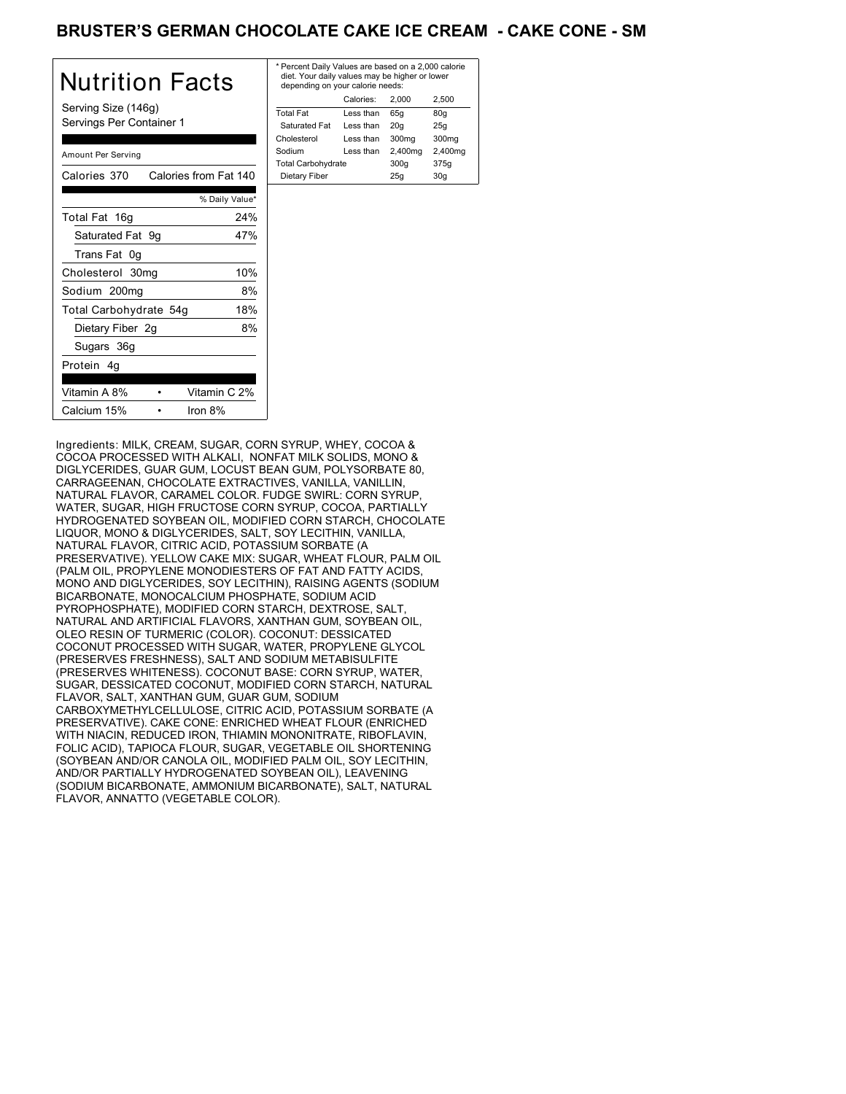# BRUSTER'S GERMAN CHOCOLATE CAKE ICE CREAM **- CAKE CONE - SM**

| Nutrition Facts                                 | * Perc<br>diet.<br>dep <sub>6</sub> |
|-------------------------------------------------|-------------------------------------|
| Serving Size (146g)<br>Servings Per Container 1 | Total I<br>Satu<br>Chole            |
| Amount Per Serving                              | Sodiu<br>Total                      |
| Calories from Fat 140<br>Calories 370           | Dieta                               |
| % Daily Value*                                  |                                     |
| 24%<br>Total Fat 16g                            |                                     |
| Saturated Fat 9g<br>47%                         |                                     |
| Trans Fat 0g                                    |                                     |
| 10%<br>Cholesterol 30mg                         |                                     |
| 8%<br>Sodium 200mg                              |                                     |
| 18%<br>Total Carbohydrate 54g                   |                                     |
| 8%<br>Dietary Fiber 2g                          |                                     |
| Sugars 36g                                      |                                     |
| Protein 4q                                      |                                     |
| Vitamin A 8%<br>Vitamin C 2%                    |                                     |
| Calcium 15%<br>Iron 8%                          |                                     |

| * Percent Daily Values are based on a 2,000 calorie<br>diet. Your daily values may be higher or lower<br>depending on your calorie needs: |           |         |                   |
|-------------------------------------------------------------------------------------------------------------------------------------------|-----------|---------|-------------------|
|                                                                                                                                           | Calories: | 2.000   | 2.500             |
| <b>Total Fat</b>                                                                                                                          | Less than | 65q     | 80g               |
| Saturated Fat                                                                                                                             | Less than | 20q     | 25q               |
| Cholesterol                                                                                                                               | Less than | 300mg   | 300 <sub>mq</sub> |
| Sodium                                                                                                                                    | Less than | 2,400mg | 2,400mg           |
| <b>Total Carbohydrate</b>                                                                                                                 |           | 300q    | 375g              |
| Dietary Fiber                                                                                                                             |           | 25q     | 30q               |
|                                                                                                                                           |           |         |                   |

Ingredients: MILK, CREAM, SUGAR, CORN SYRUP, WHEY, COCOA & COCOA PROCESSED WITH ALKALI, NONFAT MILK SOLIDS, MONO & DIGLYCERIDES, GUAR GUM, LOCUST BEAN GUM, POLYSORBATE 80, CARRAGEENAN, CHOCOLATE EXTRACTIVES, VANILLA, VANILLIN, NATURAL FLAVOR, CARAMEL COLOR. FUDGE SWIRL: CORN SYRUP, WATER, SUGAR, HIGH FRUCTOSE CORN SYRUP, COCOA, PARTIALLY HYDROGENATED SOYBEAN OIL, MODIFIED CORN STARCH, CHOCOLATE LIQUOR, MONO & DIGLYCERIDES, SALT, SOY LECITHIN, VANILLA, NATURAL FLAVOR, CITRIC ACID, POTASSIUM SORBATE (A PRESERVATIVE). YELLOW CAKE MIX: SUGAR, WHEAT FLOUR, PALM OIL (PALM OIL, PROPYLENE MONODIESTERS OF FAT AND FATTY ACIDS, MONO AND DIGLYCERIDES, SOY LECITHIN), RAISING AGENTS (SODIUM BICARBONATE, MONOCALCIUM PHOSPHATE, SODIUM ACID PYROPHOSPHATE), MODIFIED CORN STARCH, DEXTROSE, SALT, NATURAL AND ARTIFICIAL FLAVORS, XANTHAN GUM, SOYBEAN OIL, OLEO RESIN OF TURMERIC (COLOR). COCONUT: DESSICATED COCONUT PROCESSED WITH SUGAR, WATER, PROPYLENE GLYCOL (PRESERVES FRESHNESS), SALT AND SODIUM METABISULFITE (PRESERVES WHITENESS). COCONUT BASE: CORN SYRUP, WATER, SUGAR, DESSICATED COCONUT, MODIFIED CORN STARCH, NATURAL FLAVOR, SALT, XANTHAN GUM, GUAR GUM, SODIUM CARBOXYMETHYLCELLULOSE, CITRIC ACID, POTASSIUM SORBATE (A PRESERVATIVE). CAKE CONE: ENRICHED WHEAT FLOUR (ENRICHED WITH NIACIN, REDUCED IRON, THIAMIN MONONITRATE, RIBOFLAVIN, FOLIC ACID), TAPIOCA FLOUR, SUGAR, VEGETABLE OIL SHORTENING (SOYBEAN AND/OR CANOLA OIL, MODIFIED PALM OIL, SOY LECITHIN, AND/OR PARTIALLY HYDROGENATED SOYBEAN OIL), LEAVENING (SODIUM BICARBONATE, AMMONIUM BICARBONATE), SALT, NATURAL FLAVOR, ANNATTO (VEGETABLE COLOR).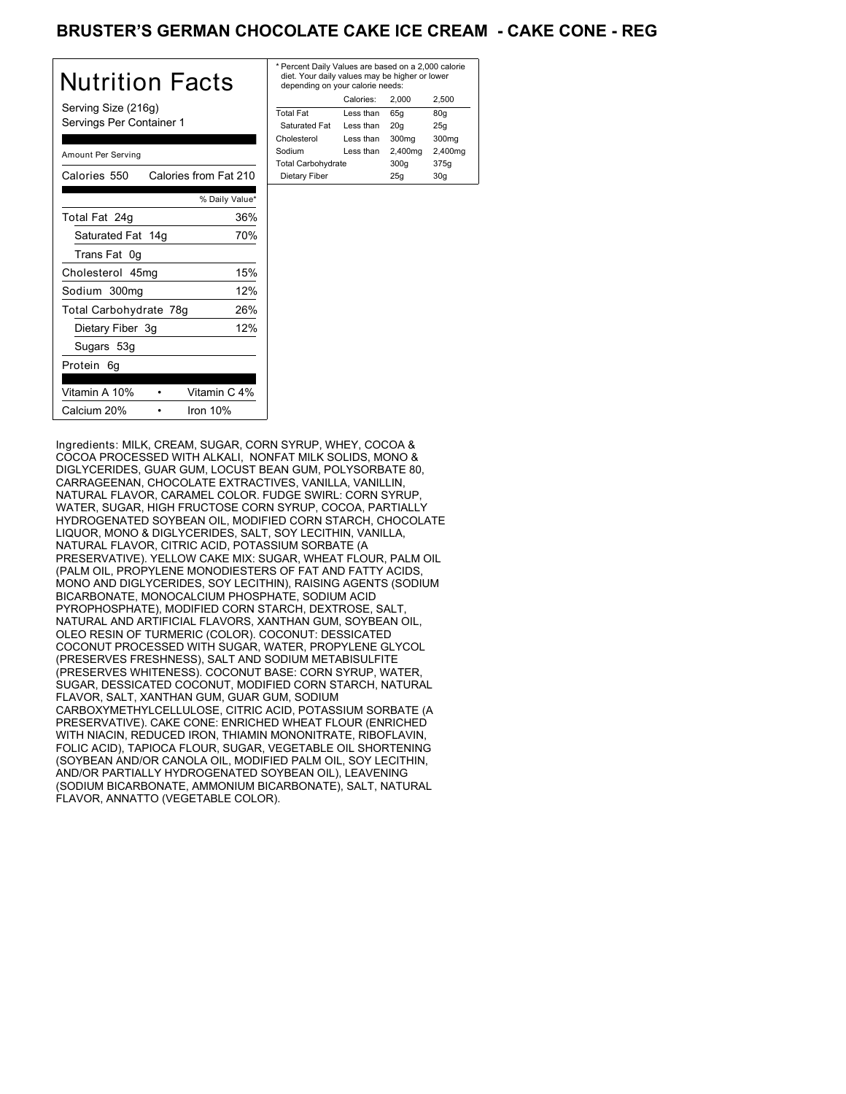# BRUSTER'S GERMAN CHOCOLATE CAKE ICE CREAM **- CAKE CONE - REG**

| Nutrition Facts                                 | * Per<br>die<br>der |
|-------------------------------------------------|---------------------|
| Serving Size (216g)<br>Servings Per Container 1 | Tota<br>Sat<br>Chol |
| Amount Per Serving                              | Sodi<br>Tota        |
| Calories 550<br>Calories from Fat 210           | Die                 |
| % Daily Value*                                  |                     |
| 36%<br>Total Fat 24g                            |                     |
| Saturated Fat 14g<br>70%                        |                     |
| Trans Fat 0g                                    |                     |
| 15%<br>Cholesterol 45mg                         |                     |
| 12%<br>Sodium 300mg                             |                     |
| 26%<br>Total Carbohydrate 78g                   |                     |
| 12%<br>Dietary Fiber 3g                         |                     |
| Sugars 53g                                      |                     |
| Protein 6g                                      |                     |
| Vitamin A 10%<br>Vitamin C 4%                   |                     |
| Calcium 20%<br>Iron $10%$                       |                     |

| * Percent Daily Values are based on a 2,000 calorie<br>diet. Your daily values may be higher or lower<br>depending on your calorie needs: |           |         |         |
|-------------------------------------------------------------------------------------------------------------------------------------------|-----------|---------|---------|
|                                                                                                                                           | Calories: | 2.000   | 2.500   |
| <b>Total Fat</b>                                                                                                                          | Less than | 65q     | 80q     |
| Saturated Fat                                                                                                                             | Less than | 20q     | 25q     |
| Cholesterol                                                                                                                               | Less than | 300mg   | 300mg   |
| Sodium                                                                                                                                    | Less than | 2,400mg | 2,400mg |
| <b>Total Carbohydrate</b>                                                                                                                 |           | 300q    | 375g    |
| Dietary Fiber                                                                                                                             |           | 25q     | 30q     |
|                                                                                                                                           |           |         |         |

Ingredients: MILK, CREAM, SUGAR, CORN SYRUP, WHEY, COCOA & COCOA PROCESSED WITH ALKALI, NONFAT MILK SOLIDS, MONO & DIGLYCERIDES, GUAR GUM, LOCUST BEAN GUM, POLYSORBATE 80, CARRAGEENAN, CHOCOLATE EXTRACTIVES, VANILLA, VANILLIN, NATURAL FLAVOR, CARAMEL COLOR. FUDGE SWIRL: CORN SYRUP, WATER, SUGAR, HIGH FRUCTOSE CORN SYRUP, COCOA, PARTIALLY HYDROGENATED SOYBEAN OIL, MODIFIED CORN STARCH, CHOCOLATE LIQUOR, MONO & DIGLYCERIDES, SALT, SOY LECITHIN, VANILLA, NATURAL FLAVOR, CITRIC ACID, POTASSIUM SORBATE (A PRESERVATIVE). YELLOW CAKE MIX: SUGAR, WHEAT FLOUR, PALM OIL (PALM OIL, PROPYLENE MONODIESTERS OF FAT AND FATTY ACIDS, MONO AND DIGLYCERIDES, SOY LECITHIN), RAISING AGENTS (SODIUM BICARBONATE, MONOCALCIUM PHOSPHATE, SODIUM ACID PYROPHOSPHATE), MODIFIED CORN STARCH, DEXTROSE, SALT, NATURAL AND ARTIFICIAL FLAVORS, XANTHAN GUM, SOYBEAN OIL, OLEO RESIN OF TURMERIC (COLOR). COCONUT: DESSICATED COCONUT PROCESSED WITH SUGAR, WATER, PROPYLENE GLYCOL (PRESERVES FRESHNESS), SALT AND SODIUM METABISULFITE (PRESERVES WHITENESS). COCONUT BASE: CORN SYRUP, WATER, SUGAR, DESSICATED COCONUT, MODIFIED CORN STARCH, NATURAL FLAVOR, SALT, XANTHAN GUM, GUAR GUM, SODIUM CARBOXYMETHYLCELLULOSE, CITRIC ACID, POTASSIUM SORBATE (A PRESERVATIVE). CAKE CONE: ENRICHED WHEAT FLOUR (ENRICHED WITH NIACIN, REDUCED IRON, THIAMIN MONONITRATE, RIBOFLAVIN, FOLIC ACID), TAPIOCA FLOUR, SUGAR, VEGETABLE OIL SHORTENING (SOYBEAN AND/OR CANOLA OIL, MODIFIED PALM OIL, SOY LECITHIN, AND/OR PARTIALLY HYDROGENATED SOYBEAN OIL), LEAVENING (SODIUM BICARBONATE, AMMONIUM BICARBONATE), SALT, NATURAL FLAVOR, ANNATTO (VEGETABLE COLOR).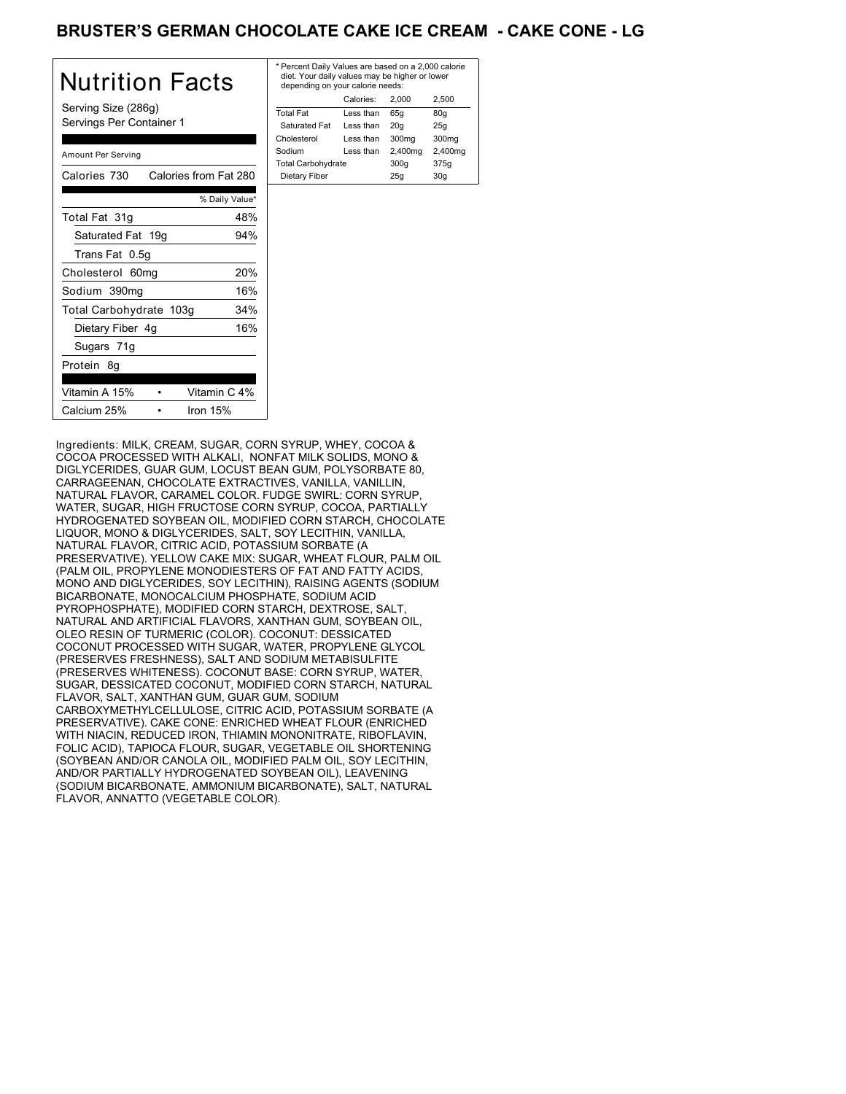# BRUSTER'S GERMAN CHOCOLATE CAKE ICE CREAM **- CAKE CONE - LG**

| Nutrition Facts                                 | * P<br>di<br>d  |
|-------------------------------------------------|-----------------|
| Serving Size (286g)<br>Servings Per Container 1 | Tot<br>S.<br>Ch |
| Amount Per Serving                              | So<br>Tot       |
| Calories from Fat 280<br>Calories 730           | D               |
| % Daily Value*                                  |                 |
| Total Fat 31g<br>48%                            |                 |
| Saturated Fat 19g<br>94%                        |                 |
| Trans Fat 0.5g                                  |                 |
| 20%<br>Cholesterol 60mg                         |                 |
| 16%<br>Sodium 390mg                             |                 |
| 34%<br>Total Carbohydrate 103g                  |                 |
| 16%<br>Dietary Fiber 4g                         |                 |
| Sugars 71g                                      |                 |
| Protein 8g                                      |                 |
| Vitamin A 15%<br>Vitamin C 4%                   |                 |
| Calcium 25%<br>Iron $15%$                       |                 |

| * Percent Daily Values are based on a 2,000 calorie<br>diet. Your daily values may be higher or lower<br>depending on your calorie needs: |           |         |         |
|-------------------------------------------------------------------------------------------------------------------------------------------|-----------|---------|---------|
|                                                                                                                                           | Calories: | 2.000   | 2.500   |
| <b>Total Fat</b>                                                                                                                          | Less than | 65q     | 80q     |
| Saturated Fat                                                                                                                             | Less than | 20q     | 25q     |
| Cholesterol                                                                                                                               | Less than | 300mg   | 300mg   |
| Sodium                                                                                                                                    | Less than | 2,400mg | 2,400mg |
| <b>Total Carbohydrate</b>                                                                                                                 |           | 300q    | 375g    |
| Dietary Fiber                                                                                                                             |           | 25q     | 30q     |

Ingredients: MILK, CREAM, SUGAR, CORN SYRUP, WHEY, COCOA & COCOA PROCESSED WITH ALKALI, NONFAT MILK SOLIDS, MONO & DIGLYCERIDES, GUAR GUM, LOCUST BEAN GUM, POLYSORBATE 80, CARRAGEENAN, CHOCOLATE EXTRACTIVES, VANILLA, VANILLIN, NATURAL FLAVOR, CARAMEL COLOR. FUDGE SWIRL: CORN SYRUP, WATER, SUGAR, HIGH FRUCTOSE CORN SYRUP, COCOA, PARTIALLY HYDROGENATED SOYBEAN OIL, MODIFIED CORN STARCH, CHOCOLATE LIQUOR, MONO & DIGLYCERIDES, SALT, SOY LECITHIN, VANILLA, NATURAL FLAVOR, CITRIC ACID, POTASSIUM SORBATE (A PRESERVATIVE). YELLOW CAKE MIX: SUGAR, WHEAT FLOUR, PALM OIL (PALM OIL, PROPYLENE MONODIESTERS OF FAT AND FATTY ACIDS, MONO AND DIGLYCERIDES, SOY LECITHIN), RAISING AGENTS (SODIUM BICARBONATE, MONOCALCIUM PHOSPHATE, SODIUM ACID PYROPHOSPHATE), MODIFIED CORN STARCH, DEXTROSE, SALT, NATURAL AND ARTIFICIAL FLAVORS, XANTHAN GUM, SOYBEAN OIL, OLEO RESIN OF TURMERIC (COLOR). COCONUT: DESSICATED COCONUT PROCESSED WITH SUGAR, WATER, PROPYLENE GLYCOL (PRESERVES FRESHNESS), SALT AND SODIUM METABISULFITE (PRESERVES WHITENESS). COCONUT BASE: CORN SYRUP, WATER, SUGAR, DESSICATED COCONUT, MODIFIED CORN STARCH, NATURAL FLAVOR, SALT, XANTHAN GUM, GUAR GUM, SODIUM CARBOXYMETHYLCELLULOSE, CITRIC ACID, POTASSIUM SORBATE (A PRESERVATIVE). CAKE CONE: ENRICHED WHEAT FLOUR (ENRICHED WITH NIACIN, REDUCED IRON, THIAMIN MONONITRATE, RIBOFLAVIN, FOLIC ACID), TAPIOCA FLOUR, SUGAR, VEGETABLE OIL SHORTENING (SOYBEAN AND/OR CANOLA OIL, MODIFIED PALM OIL, SOY LECITHIN, AND/OR PARTIALLY HYDROGENATED SOYBEAN OIL), LEAVENING (SODIUM BICARBONATE, AMMONIUM BICARBONATE), SALT, NATURAL FLAVOR, ANNATTO (VEGETABLE COLOR).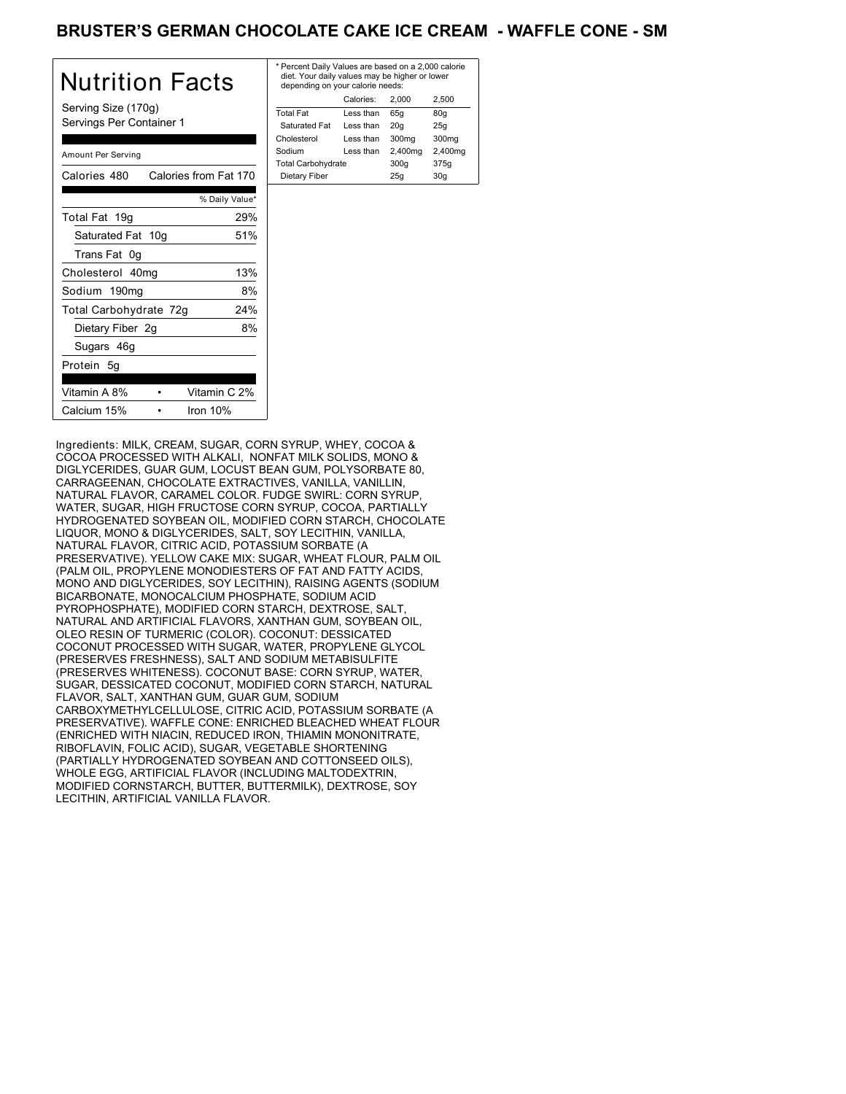## BRUSTER'S GERMAN CHOCOLATE CAKE ICE CREAM - WAFFLE CONE - SM

| Nutrition Facts                                 | * Perc<br>diet.<br>depe           |
|-------------------------------------------------|-----------------------------------|
| Serving Size (170g)<br>Servings Per Container 1 | Total <b>F</b><br>Satur<br>Chole: |
| Amount Per Serving                              | Sodiu<br>Total (                  |
| Calories 480<br>Calories from Fat 170           | Dieta                             |
| % Daily Value*                                  |                                   |
| 29%<br>Total Fat 19g                            |                                   |
| Saturated Fat 10g<br>51%                        |                                   |
| Trans Fat 0g                                    |                                   |
| 13%<br>Cholesterol 40mg                         |                                   |
| 8%<br>Sodium 190mg                              |                                   |
| 24%<br>Total Carbohydrate 72g                   |                                   |
| 8%<br>Dietary Fiber 2g                          |                                   |
| Sugars 46g                                      |                                   |
| Protein 5g                                      |                                   |
| Vitamin A 8%<br>Vitamin C 2%                    |                                   |
| Calcium 15%<br>Iron 10%                         |                                   |

| * Percent Daily Values are based on a 2,000 calorie<br>diet. Your daily values may be higher or lower<br>depending on your calorie needs: |           |         |         |
|-------------------------------------------------------------------------------------------------------------------------------------------|-----------|---------|---------|
|                                                                                                                                           | Calories: | 2.000   | 2.500   |
| <b>Total Fat</b>                                                                                                                          | Less than | 65q     | 80g     |
| Saturated Fat                                                                                                                             | Less than | 20q     | 25q     |
| Cholesterol                                                                                                                               | Less than | 300mg   | 300mg   |
| Sodium                                                                                                                                    | Less than | 2,400mg | 2,400mg |
| <b>Total Carbohydrate</b>                                                                                                                 |           | 300q    | 375g    |
| Dietary Fiber                                                                                                                             |           | 25q     | 30q     |
|                                                                                                                                           |           |         |         |

Ingredients: MILK, CREAM, SUGAR, CORN SYRUP, WHEY, COCOA & COCOA PROCESSED WITH ALKALI, NONFAT MILK SOLIDS, MONO & DIGLYCERIDES, GUAR GUM, LOCUST BEAN GUM, POLYSORBATE 80, CARRAGEENAN, CHOCOLATE EXTRACTIVES, VANILLA, VANILLIN, NATURAL FLAVOR, CARAMEL COLOR. FUDGE SWIRL: CORN SYRUP, WATER, SUGAR, HIGH FRUCTOSE CORN SYRUP, COCOA, PARTIALLY HYDROGENATED SOYBEAN OIL, MODIFIED CORN STARCH, CHOCOLATE LIQUOR, MONO & DIGLYCERIDES, SALT, SOY LECITHIN, VANILLA, NATURAL FLAVOR, CITRIC ACID, POTASSIUM SORBATE (A PRESERVATIVE). YELLOW CAKE MIX: SUGAR, WHEAT FLOUR, PALM OIL (PALM OIL, PROPYLENE MONODIESTERS OF FAT AND FATTY ACIDS, MONO AND DIGLYCERIDES, SOY LECITHIN), RAISING AGENTS (SODIUM BICARBONATE, MONOCALCIUM PHOSPHATE, SODIUM ACID PYROPHOSPHATE), MODIFIED CORN STARCH, DEXTROSE, SALT, NATURAL AND ARTIFICIAL FLAVORS, XANTHAN GUM, SOYBEAN OIL, OLEO RESIN OF TURMERIC (COLOR). COCONUT: DESSICATED COCONUT PROCESSED WITH SUGAR, WATER, PROPYLENE GLYCOL (PRESERVES FRESHNESS), SALT AND SODIUM METABISULFITE (PRESERVES WHITENESS). COCONUT BASE: CORN SYRUP, WATER, SUGAR, DESSICATED COCONUT, MODIFIED CORN STARCH, NATURAL FLAVOR, SALT, XANTHAN GUM, GUAR GUM, SODIUM CARBOXYMETHYLCELLULOSE, CITRIC ACID, POTASSIUM SORBATE (A PRESERVATIVE). WAFFLE CONE: ENRICHED BLEACHED WHEAT FLOUR (ENRICHED WITH NIACIN, REDUCED IRON, THIAMIN MONONITRATE, RIBOFLAVIN, FOLIC ACID), SUGAR, VEGETABLE SHORTENING (PARTIALLY HYDROGENATED SOYBEAN AND COTTONSEED OILS), WHOLE EGG, ARTIFICIAL FLAVOR (INCLUDING MALTODEXTRIN, MODIFIED CORNSTARCH, BUTTER, BUTTERMILK), DEXTROSE, SOY LECITHIN, ARTIFICIAL VANILLA FLAVOR.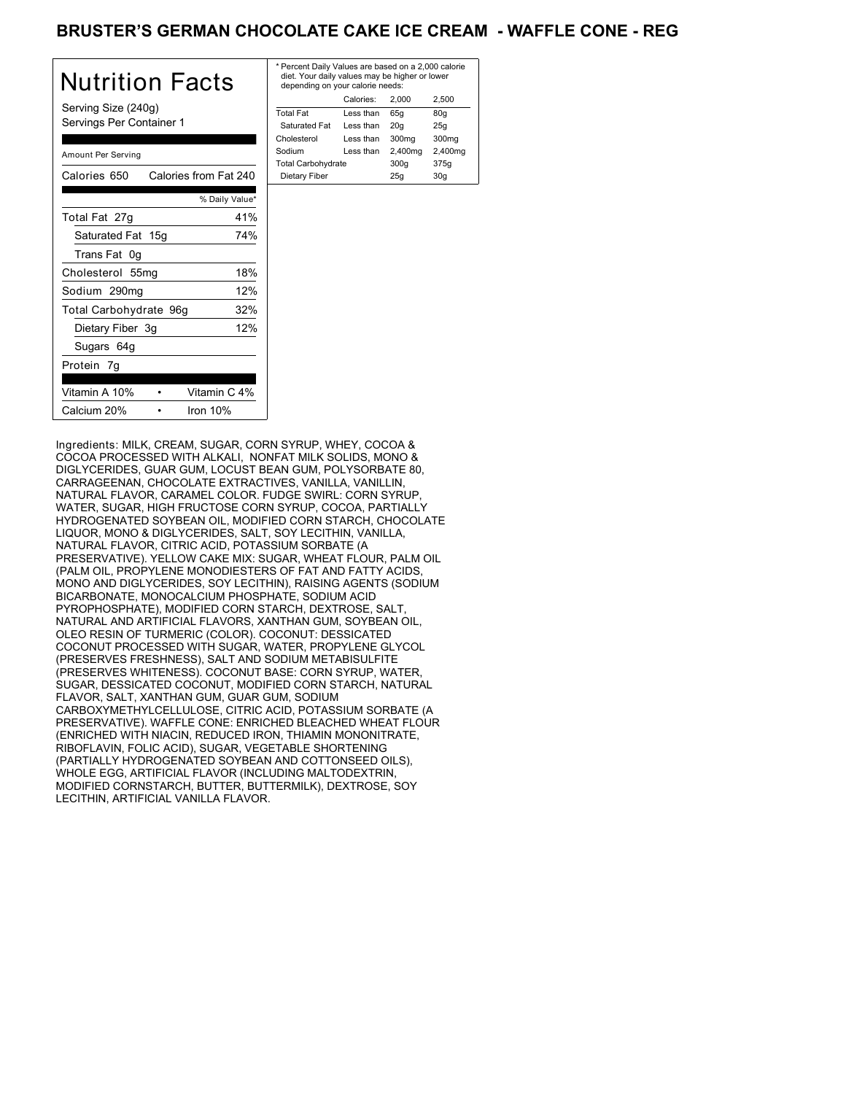## BRUSTER'S GERMAN CHOCOLATE CAKE ICE CREAM - WAFFLE CONE - REG

| Nutrition Facts                                 | * Pero<br>diet.<br>dep |
|-------------------------------------------------|------------------------|
| Serving Size (240g)<br>Servings Per Container 1 | Total<br>Satu<br>Chole |
| Amount Per Serving                              | Sodiu<br>Total         |
| Calories 650<br>Calories from Fat 240           | Diet                   |
| % Daily Value*                                  |                        |
| 41%<br>Total Fat 27g                            |                        |
| Saturated Fat 15g<br>74%                        |                        |
| Trans Fat 0g                                    |                        |
| 18%<br>Cholesterol 55mg                         |                        |
| 12%<br>Sodium 290mg                             |                        |
| 32%<br>Total Carbohydrate 96g                   |                        |
| 12%<br>Dietary Fiber 3g                         |                        |
| Sugars 64g                                      |                        |
| Protein 7g                                      |                        |
| Vitamin A 10%<br>Vitamin C 4%                   |                        |
| Calcium 20%<br>Iron $10%$                       |                        |

| * Percent Daily Values are based on a 2,000 calorie<br>diet. Your daily values may be higher or lower<br>depending on your calorie needs: |           |         |         |
|-------------------------------------------------------------------------------------------------------------------------------------------|-----------|---------|---------|
|                                                                                                                                           | Calories: | 2.000   | 2.500   |
| <b>Total Fat</b>                                                                                                                          | Less than | 65q     | 80g     |
| Saturated Fat                                                                                                                             | Less than | 20q     | 25q     |
| Cholesterol                                                                                                                               | Less than | 300mg   | 300mg   |
| Sodium                                                                                                                                    | Less than | 2,400mg | 2,400mg |
| <b>Total Carbohydrate</b>                                                                                                                 |           | 300q    | 375g    |
| Dietary Fiber                                                                                                                             |           | 25q     | 30q     |
|                                                                                                                                           |           |         |         |

Ingredients: MILK, CREAM, SUGAR, CORN SYRUP, WHEY, COCOA & COCOA PROCESSED WITH ALKALI, NONFAT MILK SOLIDS, MONO & DIGLYCERIDES, GUAR GUM, LOCUST BEAN GUM, POLYSORBATE 80, CARRAGEENAN, CHOCOLATE EXTRACTIVES, VANILLA, VANILLIN, NATURAL FLAVOR, CARAMEL COLOR. FUDGE SWIRL: CORN SYRUP, WATER, SUGAR, HIGH FRUCTOSE CORN SYRUP, COCOA, PARTIALLY HYDROGENATED SOYBEAN OIL, MODIFIED CORN STARCH, CHOCOLATE LIQUOR, MONO & DIGLYCERIDES, SALT, SOY LECITHIN, VANILLA, NATURAL FLAVOR, CITRIC ACID, POTASSIUM SORBATE (A PRESERVATIVE). YELLOW CAKE MIX: SUGAR, WHEAT FLOUR, PALM OIL (PALM OIL, PROPYLENE MONODIESTERS OF FAT AND FATTY ACIDS, MONO AND DIGLYCERIDES, SOY LECITHIN), RAISING AGENTS (SODIUM BICARBONATE, MONOCALCIUM PHOSPHATE, SODIUM ACID PYROPHOSPHATE), MODIFIED CORN STARCH, DEXTROSE, SALT, NATURAL AND ARTIFICIAL FLAVORS, XANTHAN GUM, SOYBEAN OIL, OLEO RESIN OF TURMERIC (COLOR). COCONUT: DESSICATED COCONUT PROCESSED WITH SUGAR, WATER, PROPYLENE GLYCOL (PRESERVES FRESHNESS), SALT AND SODIUM METABISULFITE (PRESERVES WHITENESS). COCONUT BASE: CORN SYRUP, WATER, SUGAR, DESSICATED COCONUT, MODIFIED CORN STARCH, NATURAL FLAVOR, SALT, XANTHAN GUM, GUAR GUM, SODIUM CARBOXYMETHYLCELLULOSE, CITRIC ACID, POTASSIUM SORBATE (A PRESERVATIVE). WAFFLE CONE: ENRICHED BLEACHED WHEAT FLOUR (ENRICHED WITH NIACIN, REDUCED IRON, THIAMIN MONONITRATE, RIBOFLAVIN, FOLIC ACID), SUGAR, VEGETABLE SHORTENING (PARTIALLY HYDROGENATED SOYBEAN AND COTTONSEED OILS), WHOLE EGG, ARTIFICIAL FLAVOR (INCLUDING MALTODEXTRIN, MODIFIED CORNSTARCH, BUTTER, BUTTERMILK), DEXTROSE, SOY LECITHIN, ARTIFICIAL VANILLA FLAVOR.